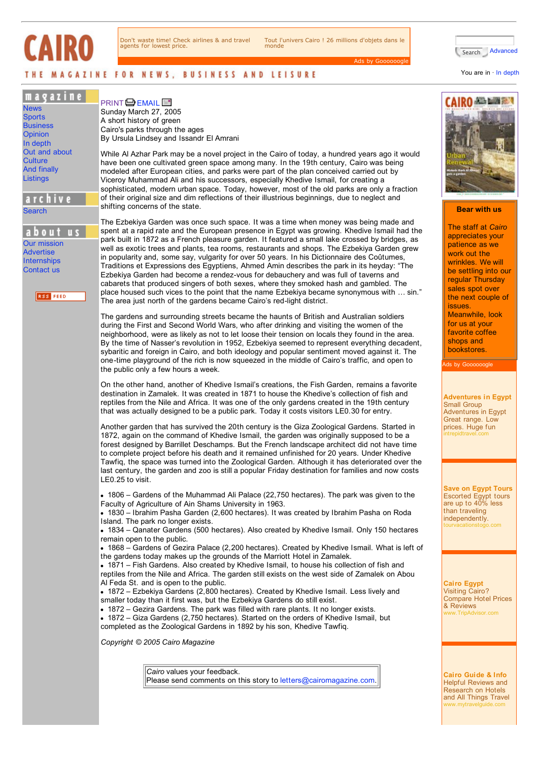**Cairo Fl ghts** Don't waste time! Check airlines & and travel agents for lowest price.

**Cairo** Tout l'univers Cairo ! 26 millions d'objets dans le monde

Ads by Goooooogle

You are in  $\cdot$  In depth

Search Advanced

## THE MAGAZINE FOR NEWS, BUSINESS AND LEISURE

## magazine

**News Sports Business Opinion** In depth Out and about **Culture** And finally **Listings** 



about us

Our mission **Advertise Internships** Contact us

**RSS FEED** 

## $PRINT$   $\bigoplus$   $EMAIL$   $\bigoplus$ Sunday March 27, 2005 A short history of green Cairo's parks through the ages By Ursula Lindsey and Issandr El Amrani

While Al Azhar Park may be a novel project in the Cairo of today, a hundred years ago it would have been one cultivated green space among many. In the 19th century, Cairo was being modeled after European cities, and parks were part of the plan conceived carried out by Viceroy Muhammad Ali and his successors, especially Khedive Ismail, for creating a sophisticated, modern urban space. Today, however, most of the old parks are only a fraction of their original size and dim reflections of their illustrious beginnings, due to neglect and shifting concerns of the state.

The Ezbekiya Garden was once such space. It was a time when money was being made and spent at a rapid rate and the European presence in Egypt was growing. Khedive Ismail had the park built in 1872 as a French pleasure garden. It featured a small lake crossed by bridges, as well as exotic trees and plants, tea rooms, restaurants and shops. The Ezbekiya Garden grew in popularity and, some say, vulgarity for over 50 years. In his Dictionnaire des Coûtumes, Traditions et Expressions des Egyptiens, Ahmed Amin describes the park in its heyday: "The Ezbekiya Garden had become a rendez-vous for debauchery and was full of taverns and cabarets that produced singers of both sexes, where they smoked hash and gambled. The place housed such vices to the point that the name Ezbekiya became synonymous with … sin." The area just north of the gardens became Cairo's red-light district.

The gardens and surrounding streets became the haunts of British and Australian soldiers during the First and Second World Wars, who after drinking and visiting the women of the neighborhood, were as likely as not to let loose their tension on locals they found in the area. By the time of Nasser's revolution in 1952, Ezbekiya seemed to represent everything decadent, sybaritic and foreign in Cairo, and both ideology and popular sentiment moved against it. The one-time playground of the rich is now squeezed in the middle of Cairo's traffic, and open to the public only a few hours a week.

On the other hand, another of Khedive Ismail's creations, the Fish Garden, remains a favorite destination in Zamalek. It was created in 1871 to house the Khedive's collection of fish and reptiles from the Nile and Africa. It was one of the only gardens created in the 19th century that was actually designed to be a public park. Today it costs visitors LE0.30 for entry.

Another garden that has survived the 20th century is the Giza Zoological Gardens. Started in 1872, again on the command of Khedive Ismail, the garden was originally supposed to be a forest designed by Barrillet Deschamps. But the French landscape architect did not have time to complete project before his death and it remained unfinished for 20 years. Under Khedive Tawfiq, the space was turned into the Zoological Garden. Although it has deteriorated over the last century, the garden and zoo is still a popular Friday destination for families and now costs LE0.25 to visit.

1806 – Gardens of the Muhammad Ali Palace (22,750 hectares). The park was given to the Faculty of Agriculture of Ain Shams University in 1963.

1830 – Ibrahim Pasha Garden (2,600 hectares). It was created by Ibrahim Pasha on Roda Island. The park no longer exists.

1834 – Qanater Gardens (500 hectares). Also created by Khedive Ismail. Only 150 hectares remain open to the public.

1868 – Gardens of Gezira Palace (2,200 hectares). Created by Khedive Ismail. What is left of the gardens today makes up the grounds of the Marriott Hotel in Zamalek.

1871 – Fish Gardens. Also created by Khedive Ismail, to house his collection of fish and reptiles from the Nile and Africa. The garden still exists on the west side of Zamalek on Abou Al Feda St. and is open to the public.

1872 – Ezbekiya Gardens (2,800 hectares). Created by Khedive Ismail. Less lively and smaller today than it first was, but the Ezbekiya Gardens do still exist.

1872 – Gezira Gardens. The park was filled with rare plants. It no longer exists. 1872 – Giza Gardens (2,750 hectares). Started on the orders of Khedive Ismail, but completed as the Zoological Gardens in 1892 by his son, Khedive Tawfiq.

*Copyright © 2005 Cairo Magazine*

*Cairo* values your feedback. Please send comments on this story to letters@cairomagazine.com.



## **Bear with us**

The staff at *Cairo* appreciates your patience as we work out the wrinkles. We will be settling into our regular Thursday sales spot over the next couple of issues. Meanwhile, look for us at your favorite coffee shops and bookstores.

Ads by Goooooogle

**Adventures in Egypt** Small Group Adventures in Egypt Great range. Low prices. Huge fun intrepidtravel.com

**Save on Egypt Tours** Escorted Egypt tours are up to 40% less than traveling independently. tourvacationstogo.com

**Cairo Egypt** Visiting Cairo? Compare Hotel Prices & Reviews www.TripAdvisor.com

**Cairo Guide & Info** Helpful Reviews and Research on Hotels and All Things Travel www.mytravelguide.com